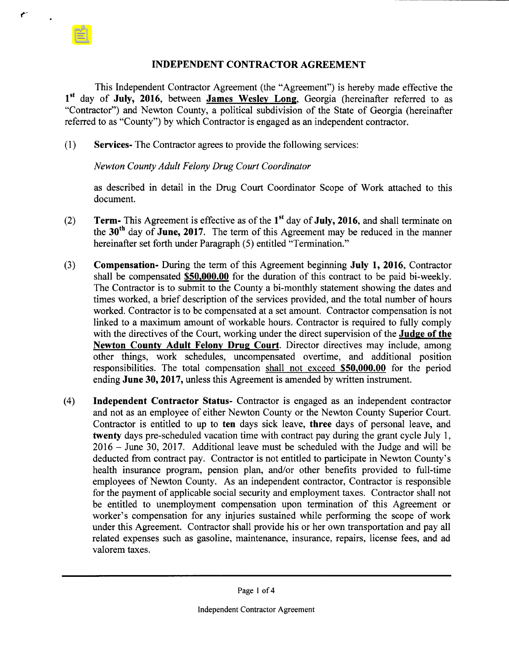## INDEPENDENT CONTRACTOR AGREEMENT

This Independent Contractor Agreement (the " Agreement") is hereby made effective the 1<sup>st</sup> day of July, 2016, between James Wesley Long, Georgia (hereinafter referred to as Contractor") and Newton County, a political subdivision of the State of Georgia ( hereinafter referred to as "County") by which Contractor is engaged as an independent contractor.

1) Services- The Contractor agrees to provide the following services:

## Newton County Adult Felony Drug Court Coordinator

r-

as described in detail in the Drug Court Coordinator Scope of Work attached to this document.

- (2) Term- This Agreement is effective as of the  $1<sup>st</sup>$  day of **July, 2016**, and shall terminate on the  $30<sup>th</sup>$  day of June, 2017. The term of this Agreement may be reduced in the manner hereinafter set forth under Paragraph (5) entitled "Termination."
- 3) Compensation- During the term of this Agreement beginning July 1, 2016, Contractor shall be compensated \$50,000.00 for the duration of this contract to be paid bi-weekly. The Contractor is to submit to the County a bi-monthly statement showing the dates and times worked, a brief description of the services provided, and the total number of hours worked. Contractor is to be compensated at a set amount. Contractor compensation is not linked to <sup>a</sup> maximum amount of workable hours. Contractor is required to fully comply with the directives of the Court, working under the direct supervision of the **Judge of the** Newton County Adult Felony Drug Court. Director directives may include, among other things, work schedules, uncompensated overtime, and additional position responsibilities. The total compensation shall not exceed \$50,000.00 for the period ending June 30, 2017, unless this Agreement is amended by written instrument.
- 4) Independent Contractor Status- Contractor is engaged as an independent contractor and not as an employee of either Newton County or the Newton County Superior Court. Contractor is entitled to up to ten days sick leave, three days of personal leave, and twenty days pre- scheduled vacation time with contract pay during the grant cycle July 1, 2016 — June 30, 2017. Additional leave must be scheduled with the Judge and will be deducted from contract pay. Contractor is not entitled to participate in Newton County's health insurance program, pension plan, and/or other benefits provided to full-time employees of Newton County. As an independent contractor, Contractor is responsible for the payment of applicable social security and employment taxes. Contractor shall not be entitled to unemployment compensation upon termination of this Agreement or worker's compensation for any injuries sustained while performing the scope of work under this Agreement. Contractor shall provide his or her own transportation and pay all related expenses such as gasoline, maintenance, insurance, repairs, license fees, and ad valorem taxes.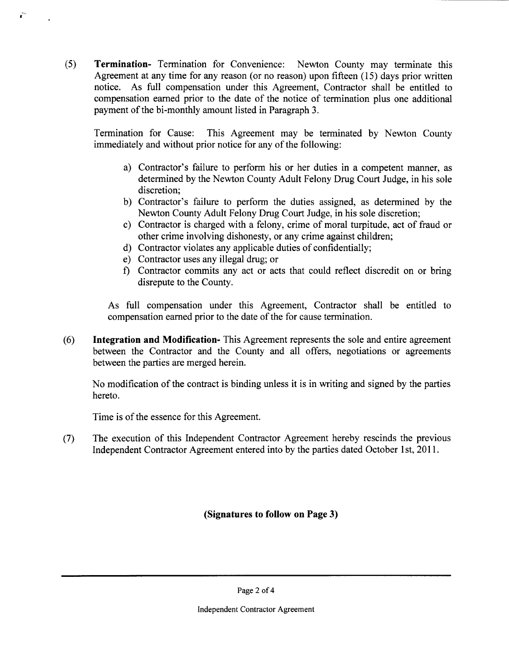5) Termination- Termination for Convenience: Newton County may terminate this Agreement at any time for any reason (or no reason) upon fifteen (15) days prior written notice. As full compensation under this Agreement, Contractor shall be entitled to compensation earned prior to the date of the notice of termination plus one additional payment of the bi-monthly amount listed in Paragraph 3.

Termination for Cause: This Agreement may be terminated by Newton County immediately and without prior notice for any of the following:

- a) Contractor's failure to perform his or her duties in a competent manner, as determined by the Newton County Adult Felony Drug Court Judge, in his sole discretion;
- b) Contractor's failure to perform the duties assigned, as determined by the Newton County Adult Felony Drug Court Judge, in his sole discretion;
- c) Contractor is charged with a felony, crime of moral turpitude, act of fraud or other crime involving dishonesty, or any crime against children;
- d) Contractor violates any applicable duties of confidentially;
- e) Contractor uses any illegal drug; or

r-

f) Contractor commits any act or acts that could reflect discredit on or bring disrepute to the County.

As full compensation under this Agreement, Contractor shall be entitled to compensation earned prior to the date of the for cause termination.

6) Integration and Modification- This Agreement represents the sole and entire agreement between the Contractor and the County and all offers, negotiations or agreements between the parties are merged herein.

No modification of the contract is binding unless it is in writing and signed by the parties hereto.

Time is of the essence for this Agreement.

7) The execution of this Independent Contractor Agreement hereby rescinds the previous Independent Contractor Agreement entered into by the parties dated October <sup>1</sup> st, 2011.

Signatures to follow on Page 3)

Page 2 of 4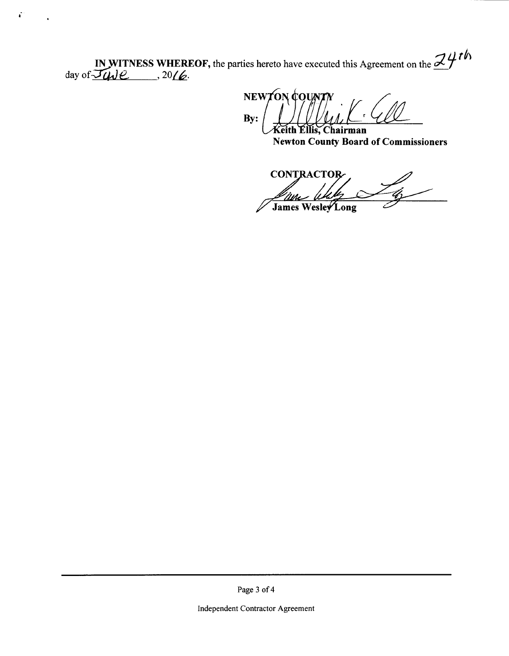IN WITNESS WHEREOF, the parties hereto have executed this Agreement on the  $\mathcal{Z}$  4th day of  $\mathcal{Z}\mu\nu e$ , 20 $\ell$ .

 $\vec{r}$ 

NEWTON COUNT  $By:$ r. Keith Ellis, Chairman

**Newton County Board of Commissioners** 

**CONTRACTOR**  $\mathcal{L}$ .<br>I Me James Wesley Long